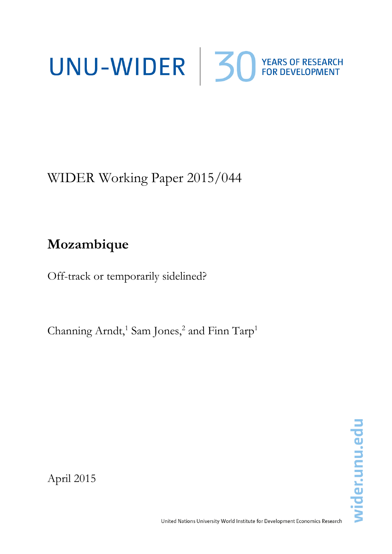# UNU-WIDER 30 YEARS OF RESEARCH

WIDER Working Paper 2015/044

# **Mozambique**

Off-track or temporarily sidelined?

Channing Arndt,<sup>1</sup> Sam Jones,<sup>2</sup> and Finn Tarp<sup>1</sup>

April 2015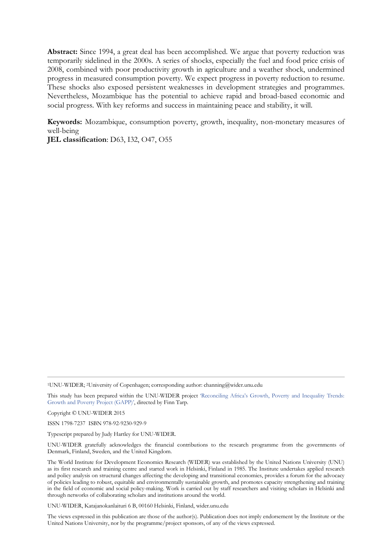**Abstract:** Since 1994, a great deal has been accomplished. We argue that poverty reduction was temporarily sidelined in the 2000s. A series of shocks, especially the fuel and food price crisis of 2008, combined with poor productivity growth in agriculture and a weather shock, undermined progress in measured consumption poverty. We expect progress in poverty reduction to resume. These shocks also exposed persistent weaknesses in development strategies and programmes. Nevertheless, Mozambique has the potential to achieve rapid and broad-based economic and social progress. With key reforms and success in maintaining peace and stability, it will.

**Keywords:** Mozambique, consumption poverty, growth, inequality, non-monetary measures of well-being

**JEL classification**: D63, I32, O47, O55

1UNU-WIDER; 2University of Copenhagen; corresponding author: channing@wider.unu.edu

This study has been prepared within the UNU-WIDER project ['Reconciling Africa's Growth, Poverty and Inequality Trends:](http://www.wider.unu.edu/research/current-programme/en_GB/GAPP/)  [Growth and Poverty Project \(GAPP\)',](http://www.wider.unu.edu/research/current-programme/en_GB/GAPP/) directed by Finn Tarp.

Copyright © UNU-WIDER 2015

ISSN 1798-7237 ISBN 978-92-9230-929-9

Typescript prepared by Judy Hartley for UNU-WIDER.

UNU-WIDER gratefully acknowledges the financial contributions to the research programme from the governments of Denmark, Finland, Sweden, and the United Kingdom.

The World Institute for Development Economics Research (WIDER) was established by the United Nations University (UNU) as its first research and training centre and started work in Helsinki, Finland in 1985. The Institute undertakes applied research and policy analysis on structural changes affecting the developing and transitional economies, provides a forum for the advocacy of policies leading to robust, equitable and environmentally sustainable growth, and promotes capacity strengthening and training in the field of economic and social policy-making. Work is carried out by staff researchers and visiting scholars in Helsinki and through networks of collaborating scholars and institutions around the world.

UNU-WIDER, Katajanokanlaituri 6 B, 00160 Helsinki, Finland, wider.unu.edu

The views expressed in this publication are those of the author(s). Publication does not imply endorsement by the Institute or the United Nations University, nor by the programme/project sponsors, of any of the views expressed.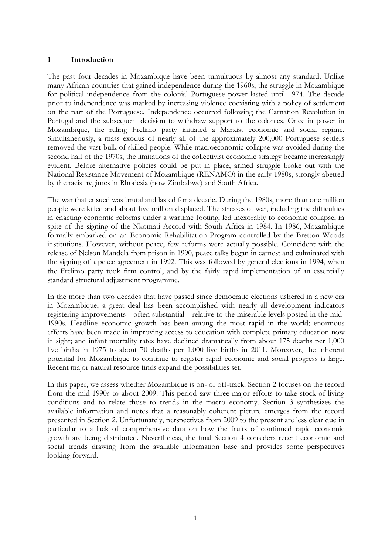# **1 Introduction**

The past four decades in Mozambique have been tumultuous by almost any standard. Unlike many African countries that gained independence during the 1960s, the struggle in Mozambique for political independence from the colonial Portuguese power lasted until 1974. The decade prior to independence was marked by increasing violence coexisting with a policy of settlement on the part of the Portuguese. Independence occurred following the Carnation Revolution in Portugal and the subsequent decision to withdraw support to the colonies. Once in power in Mozambique, the ruling Frelimo party initiated a Marxist economic and social regime. Simultaneously, a mass exodus of nearly all of the approximately 200,000 Portuguese settlers removed the vast bulk of skilled people. While macroeconomic collapse was avoided during the second half of the 1970s, the limitations of the collectivist economic strategy became increasingly evident. Before alternative policies could be put in place, armed struggle broke out with the National Resistance Movement of Mozambique (RENAMO) in the early 1980s, strongly abetted by the racist regimes in Rhodesia (now Zimbabwe) and South Africa.

The war that ensued was brutal and lasted for a decade. During the 1980s, more than one million people were killed and about five million displaced. The stresses of war, including the difficulties in enacting economic reforms under a wartime footing, led inexorably to economic collapse, in spite of the signing of the Nkomati Accord with South Africa in 1984. In 1986, Mozambique formally embarked on an Economic Rehabilitation Program controlled by the Bretton Woods institutions. However, without peace, few reforms were actually possible. Coincident with the release of Nelson Mandela from prison in 1990, peace talks began in earnest and culminated with the signing of a peace agreement in 1992. This was followed by general elections in 1994, when the Frelimo party took firm control, and by the fairly rapid implementation of an essentially standard structural adjustment programme.

In the more than two decades that have passed since democratic elections ushered in a new era in Mozambique, a great deal has been accomplished with nearly all development indicators registering improvements—often substantial—relative to the miserable levels posted in the mid-1990s. Headline economic growth has been among the most rapid in the world; enormous efforts have been made in improving access to education with complete primary education now in sight; and infant mortality rates have declined dramatically from about 175 deaths per 1,000 live births in 1975 to about 70 deaths per 1,000 live births in 2011. Moreover, the inherent potential for Mozambique to continue to register rapid economic and social progress is large. Recent major natural resource finds expand the possibilities set.

In this paper, we assess whether Mozambique is on- or off-track. Section 2 focuses on the record from the mid-1990s to about 2009. This period saw three major efforts to take stock of living conditions and to relate those to trends in the macro economy. Section 3 synthesizes the available information and notes that a reasonably coherent picture emerges from the record presented in Section 2. Unfortunately, perspectives from 2009 to the present are less clear due in particular to a lack of comprehensive data on how the fruits of continued rapid economic growth are being distributed. Nevertheless, the final Section 4 considers recent economic and social trends drawing from the available information base and provides some perspectives looking forward.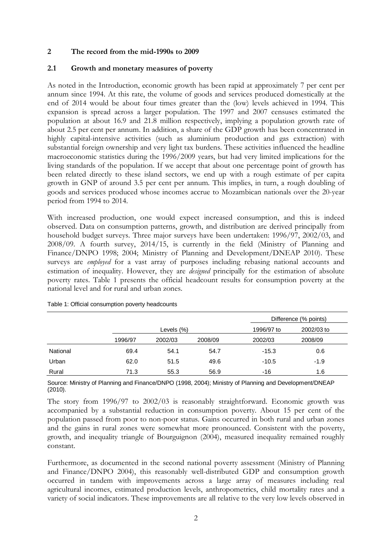# **2 The record from the mid-1990s to 2009**

# **2.1 Growth and monetary measures of poverty**

As noted in the Introduction, economic growth has been rapid at approximately 7 per cent per annum since 1994. At this rate, the volume of goods and services produced domestically at the end of 2014 would be about four times greater than the (low) levels achieved in 1994. This expansion is spread across a larger population. The 1997 and 2007 censuses estimated the population at about 16.9 and 21.8 million respectively, implying a population growth rate of about 2.5 per cent per annum. In addition, a share of the GDP growth has been concentrated in highly capital-intensive activities (such as aluminium production and gas extraction) with substantial foreign ownership and very light tax burdens. These activities influenced the headline macroeconomic statistics during the 1996/2009 years, but had very limited implications for the living standards of the population. If we accept that about one percentage point of growth has been related directly to these island sectors, we end up with a rough estimate of per capita growth in GNP of around 3.5 per cent per annum. This implies, in turn, a rough doubling of goods and services produced whose incomes accrue to Mozambican nationals over the 20-year period from 1994 to 2014.

With increased production, one would expect increased consumption, and this is indeed observed. Data on consumption patterns, growth, and distribution are derived principally from household budget surveys. Three major surveys have been undertaken: 1996/97, 2002/03, and 2008/09. A fourth survey, 2014/15, is currently in the field (Ministry of Planning and Finance/DNPO 1998; 2004; Ministry of Planning and Development/DNEAP 2010). These surveys are *employed* for a vast array of purposes including rebasing national accounts and estimation of inequality. However, they are *designed* principally for the estimation of absolute poverty rates. Table 1 presents the official headcount results for consumption poverty at the national level and for rural and urban zones.

|          |         |            |         |         | Difference (% points) |  |
|----------|---------|------------|---------|---------|-----------------------|--|
|          |         | Levels (%) |         |         | 2002/03 to            |  |
|          | 1996/97 | 2002/03    | 2008/09 | 2002/03 | 2008/09               |  |
| National | 69.4    | 54.1       | 54.7    | $-15.3$ | 0.6                   |  |
| Urban    | 62.0    | 51.5       | 49.6    | $-10.5$ | $-1.9$                |  |
| Rural    | 71.3    | 55.3       | 56.9    | -16     | 1.6                   |  |

Table 1: Official consumption poverty headcounts

Source: Ministry of Planning and Finance/DNPO (1998, 2004); Ministry of Planning and Development/DNEAP (2010).

The story from 1996/97 to 2002/03 is reasonably straightforward. Economic growth was accompanied by a substantial reduction in consumption poverty. About 15 per cent of the population passed from poor to non-poor status. Gains occurred in both rural and urban zones and the gains in rural zones were somewhat more pronounced. Consistent with the poverty, growth, and inequality triangle of Bourguignon (2004), measured inequality remained roughly constant.

Furthermore, as documented in the second national poverty assessment (Ministry of Planning and Finance/DNPO 2004), this reasonably well-distributed GDP and consumption growth occurred in tandem with improvements across a large array of measures including real agricultural incomes, estimated production levels, anthropometrics, child mortality rates and a variety of social indicators. These improvements are all relative to the very low levels observed in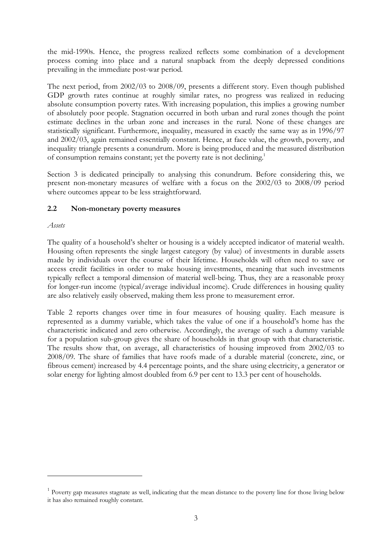the mid-1990s. Hence, the progress realized reflects some combination of a development process coming into place and a natural snapback from the deeply depressed conditions prevailing in the immediate post-war period.

The next period, from 2002/03 to 2008/09, presents a different story. Even though published GDP growth rates continue at roughly similar rates, no progress was realized in reducing absolute consumption poverty rates. With increasing population, this implies a growing number of absolutely poor people. Stagnation occurred in both urban and rural zones though the point estimate declines in the urban zone and increases in the rural. None of these changes are statistically significant. Furthermore, inequality, measured in exactly the same way as in 1996/97 and 2002/03, again remained essentially constant. Hence, at face value, the growth, poverty, and inequality triangle presents a conundrum. More is being produced and the measured distribution of consumption remains constant; yet the poverty rate is not declining.<sup>1</sup>

Section 3 is dedicated principally to analysing this conundrum. Before considering this, we present non-monetary measures of welfare with a focus on the 2002/03 to 2008/09 period where outcomes appear to be less straightforward.

# **2.2 Non-monetary poverty measures**

# *Assets*

-

The quality of a household's shelter or housing is a widely accepted indicator of material wealth. Housing often represents the single largest category (by value) of investments in durable assets made by individuals over the course of their lifetime. Households will often need to save or access credit facilities in order to make housing investments, meaning that such investments typically reflect a temporal dimension of material well-being. Thus, they are a reasonable proxy for longer-run income (typical/average individual income). Crude differences in housing quality are also relatively easily observed, making them less prone to measurement error.

Table 2 reports changes over time in four measures of housing quality. Each measure is represented as a dummy variable, which takes the value of one if a household's home has the characteristic indicated and zero otherwise. Accordingly, the average of such a dummy variable for a population sub-group gives the share of households in that group with that characteristic. The results show that, on average, all characteristics of housing improved from 2002/03 to 2008/09. The share of families that have roofs made of a durable material (concrete, zinc, or fibrous cement) increased by 4.4 percentage points, and the share using electricity, a generator or solar energy for lighting almost doubled from 6.9 per cent to 13.3 per cent of households.

<sup>&</sup>lt;sup>1</sup> Poverty gap measures stagnate as well, indicating that the mean distance to the poverty line for those living below it has also remained roughly constant.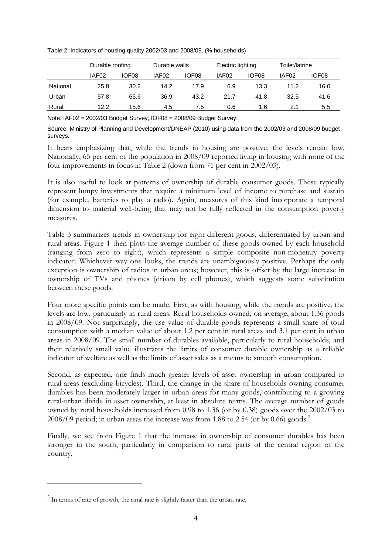Table 2: Indicators of housing quality 2002/03 and 2008/09, (% households)

|          | Durable roofing   |                   |                   | Durable walls     |                   | Electric lighting |       | Toilet/latrine    |  |
|----------|-------------------|-------------------|-------------------|-------------------|-------------------|-------------------|-------|-------------------|--|
|          | IAF <sub>02</sub> | IOF <sub>08</sub> | IAF <sub>02</sub> | IOF <sub>08</sub> | IAF <sub>02</sub> | IOF <sub>08</sub> | IAF02 | IOF <sub>08</sub> |  |
| National | 25.8              | 30.2              | 14.2              | 17.9              | 6.9               | 13.3              | 11.2  | 16.0              |  |
| Urban    | 57.8              | 65.6              | 36.9              | 43.2              | 21.7              | 41.8              | 32.5  | 41.6              |  |
| Rural    | 12.2              | 15.6              | 4.5               | 7.5               | 0.6               | 1.6               | 2.1   | 5.5               |  |

Note: IAF02 = 2002/03 Budget Survey; IOF08 = 2008/09 Budget Survey.

Source: Ministry of Planning and Development/DNEAP (2010) using data from the 2002/03 and 2008/09 budget surveys.

It bears emphasizing that, while the trends in housing are positive, the levels remain low. Nationally, 65 per cent of the population in 2008/09 reported living in housing with none of the four improvements in focus in Table 2 (down from 71 per cent in 2002/03).

It is also useful to look at patterns of ownership of durable consumer goods. These typically represent lumpy investments that require a minimum level of income to purchase and sustain (for example, batteries to play a radio). Again, measures of this kind incorporate a temporal dimension to material well-being that may not be fully reflected in the consumption poverty measures.

Table 3 summarizes trends in ownership for eight different goods, differentiated by urban and rural areas. Figure 1 then plots the average number of these goods owned by each household (ranging from zero to eight), which represents a simple composite non-monetary poverty indicator. Whichever way one looks, the trends are unambiguously positive. Perhaps the only exception is ownership of radios in urban areas; however, this is offset by the large increase in ownership of TVs and phones (driven by cell phones), which suggests some substitution between these goods.

Four more specific points can be made. First, as with housing, while the trends are positive, the levels are low, particularly in rural areas. Rural households owned, on average, about 1.36 goods in 2008/09. Not surprisingly, the use value of durable goods represents a small share of total consumption with a median value of about 1.2 per cent in rural areas and 3.1 per cent in urban areas in 2008/09. The small number of durables available, particularly to rural households, and their relatively small value illustrates the limits of consumer durable ownership as a reliable indicator of welfare as well as the limits of asset sales as a means to smooth consumption.

Second, as expected, one finds much greater levels of asset ownership in urban compared to rural areas (excluding bicycles). Third, the change in the share of households owning consumer durables has been moderately larger in urban areas for many goods, contributing to a growing rural-urban divide in asset ownership, at least in absolute terms. The average number of goods owned by rural households increased from 0.98 to 1.36 (or by 0.38) goods over the 2002/03 to 2008/09 period; in urban areas the increase was from 1.88 to 2.54 (or by 0.66) goods.<sup>2</sup>

Finally, we see from Figure 1 that the increase in ownership of consumer durables has been stronger in the south, particularly in comparison to rural parts of the central region of the country.

-

 $2$  In terms of rate of growth, the rural rate is slightly faster than the urban rate.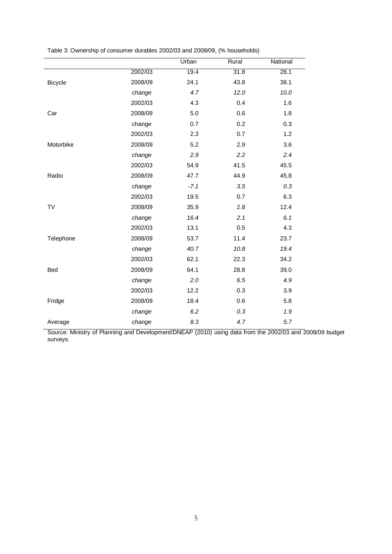| Table 3: Ownership of consumer durables 2002/03 and 2008/09, (% households) |  |  |  |  |
|-----------------------------------------------------------------------------|--|--|--|--|
|-----------------------------------------------------------------------------|--|--|--|--|

|                |         | Urban  | Rural | National |
|----------------|---------|--------|-------|----------|
|                | 2002/03 | 19.4   | 31.8  | 28.1     |
| <b>Bicycle</b> | 2008/09 | 24.1   | 43.8  | 38.1     |
|                | change  | 4.7    | 12.0  | 10.0     |
|                | 2002/03 | 4.3    | 0.4   | 1.6      |
| Car            | 2008/09 | 5.0    | 0.6   | 1.8      |
|                | change  | 0.7    | 0.2   | 0.3      |
|                | 2002/03 | 2.3    | 0.7   | 1.2      |
| Motorbike      | 2008/09 | 5.2    | 2.9   | 3.6      |
|                | change  | 2.9    | 2.2   | 2.4      |
|                | 2002/03 | 54.9   | 41.5  | 45.5     |
| Radio          | 2008/09 | 47.7   | 44.9  | 45.8     |
|                | change  | $-7.1$ | 3.5   | 0.3      |
|                | 2002/03 | 19.5   | 0.7   | 6.3      |
| <b>TV</b>      | 2008/09 | 35.9   | 2.8   | 12.4     |
|                | change  | 16.4   | 2.1   | 6.1      |
|                | 2002/03 | 13.1   | 0.5   | 4.3      |
| Telephone      | 2008/09 | 53.7   | 11.4  | 23.7     |
|                | change  | 40.7   | 10.8  | 19.4     |
|                | 2002/03 | 62.1   | 22.3  | 34.2     |
| Bed            | 2008/09 | 64.1   | 28.8  | 39.0     |
|                | change  | 2.0    | 6.5   | 4.9      |
|                | 2002/03 | 12.2   | 0.3   | 3.9      |
| Fridge         | 2008/09 | 18.4   | 0.6   | 5.8      |
|                | change  | 6.2    | 0.3   | 1.9      |
| Average        | change  | 8.3    | 4.7   | 5.7      |
|                |         |        |       |          |

Source: Ministry of Planning and Development/DNEAP (2010) using data from the 2002/03 and 2008/09 budget surveys.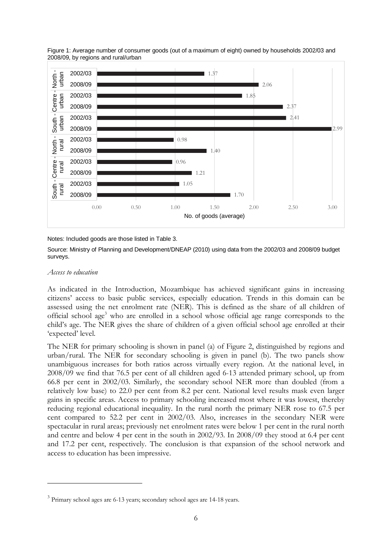

Figure 1: Average number of consumer goods (out of a maximum of eight) owned by households 2002/03 and 2008/09, by regions and rural/urban

Notes: Included goods are those listed in Table 3.

Source: Ministry of Planning and Development/DNEAP (2010) using data from the 2002/03 and 2008/09 budget surveys.

#### *Access to education*

-

As indicated in the Introduction, Mozambique has achieved significant gains in increasing citizens' access to basic public services, especially education. Trends in this domain can be assessed using the net enrolment rate (NER). This is defined as the share of all children of official school age<sup>3</sup> who are enrolled in a school whose official age range corresponds to the child's age. The NER gives the share of children of a given official school age enrolled at their 'expected' level.

The NER for primary schooling is shown in panel (a) of Figure 2, distinguished by regions and urban/rural. The NER for secondary schooling is given in panel (b). The two panels show unambiguous increases for both ratios across virtually every region. At the national level, in 2008/09 we find that 76.5 per cent of all children aged 6-13 attended primary school, up from 66.8 per cent in 2002/03. Similarly, the secondary school NER more than doubled (from a relatively low base) to 22.0 per cent from 8.2 per cent. National level results mask even larger gains in specific areas. Access to primary schooling increased most where it was lowest, thereby reducing regional educational inequality. In the rural north the primary NER rose to 67.5 per cent compared to 52.2 per cent in 2002/03. Also, increases in the secondary NER were spectacular in rural areas; previously net enrolment rates were below 1 per cent in the rural north and centre and below 4 per cent in the south in 2002/93. In 2008/09 they stood at 6.4 per cent and 17.2 per cent, respectively. The conclusion is that expansion of the school network and access to education has been impressive.

<sup>&</sup>lt;sup>3</sup> Primary school ages are 6-13 years; secondary school ages are 14-18 years.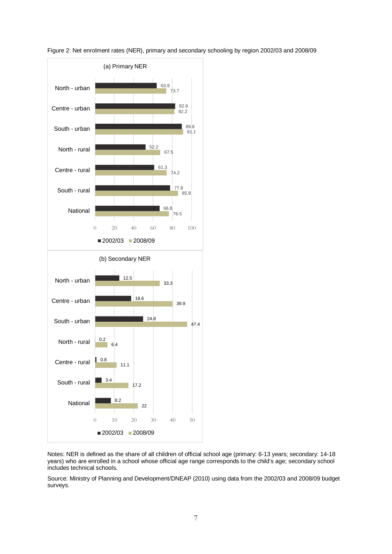

Figure 2: Net enrolment rates (NER), primary and secondary schooling by region 2002/03 and 2008/09

Notes: NER is defined as the share of all children of official school age (primary: 6-13 years; secondary: 14-18 years) who are enrolled in a school whose official age range corresponds to the child's age; secondary school includes technical schools.

Source: Ministry of Planning and Development/DNEAP (2010) using data from the 2002/03 and 2008/09 budget surveys.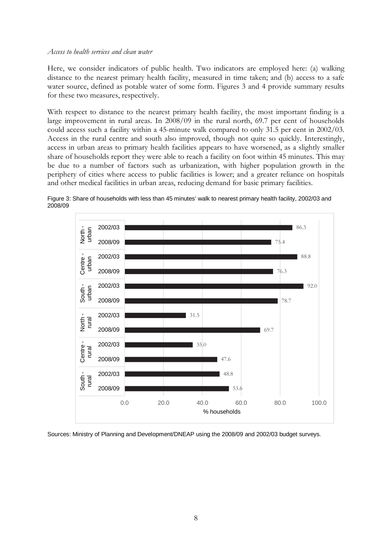#### *Access to health services and clean water*

Here, we consider indicators of public health. Two indicators are employed here: (a) walking distance to the nearest primary health facility, measured in time taken; and (b) access to a safe water source, defined as potable water of some form. Figures 3 and 4 provide summary results for these two measures, respectively.

With respect to distance to the nearest primary health facility, the most important finding is a large improvement in rural areas. In 2008/09 in the rural north, 69.7 per cent of households could access such a facility within a 45-minute walk compared to only 31.5 per cent in 2002/03. Access in the rural centre and south also improved, though not quite so quickly. Interestingly, access in urban areas to primary health facilities appears to have worsened, as a slightly smaller share of households report they were able to reach a facility on foot within 45 minutes. This may be due to a number of factors such as urbanization, with higher population growth in the periphery of cities where access to public facilities is lower; and a greater reliance on hospitals and other medical facilities in urban areas, reducing demand for basic primary facilities.



Figure 3: Share of households with less than 45 minutes' walk to nearest primary health facility, 2002/03 and 2008/09

Sources: Ministry of Planning and Development/DNEAP using the 2008/09 and 2002/03 budget surveys.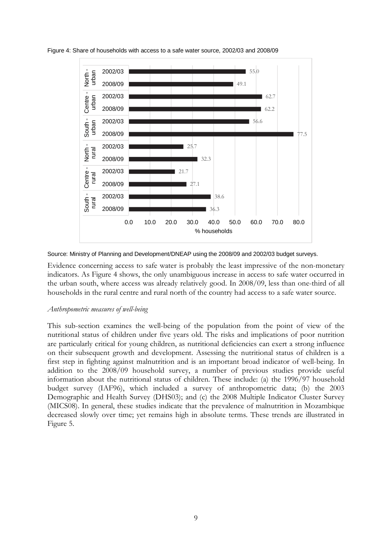

Figure 4: Share of households with access to a safe water source, 2002/03 and 2008/09

Source: Ministry of Planning and Development/DNEAP using the 2008/09 and 2002/03 budget surveys.

Evidence concerning access to safe water is probably the least impressive of the non-monetary indicators. As Figure 4 shows, the only unambiguous increase in access to safe water occurred in the urban south, where access was already relatively good. In 2008/09, less than one-third of all households in the rural centre and rural north of the country had access to a safe water source.

#### *Anthropometric measures of well-being*

This sub-section examines the well-being of the population from the point of view of the nutritional status of children under five years old. The risks and implications of poor nutrition are particularly critical for young children, as nutritional deficiencies can exert a strong influence on their subsequent growth and development. Assessing the nutritional status of children is a first step in fighting against malnutrition and is an important broad indicator of well-being. In addition to the 2008/09 household survey, a number of previous studies provide useful information about the nutritional status of children. These include: (a) the 1996/97 household budget survey (IAF96), which included a survey of anthropometric data; (b) the 2003 Demographic and Health Survey (DHS03); and (c) the 2008 Multiple Indicator Cluster Survey (MICS08). In general, these studies indicate that the prevalence of malnutrition in Mozambique decreased slowly over time; yet remains high in absolute terms. These trends are illustrated in Figure 5.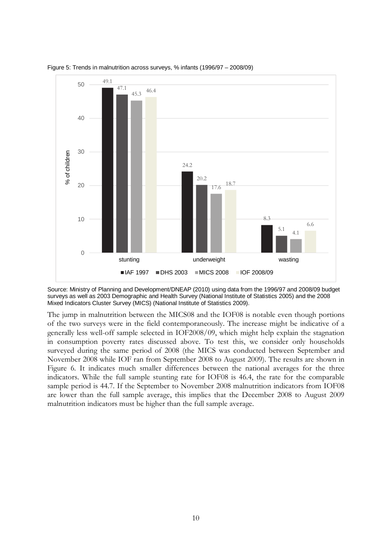

Figure 5: Trends in malnutrition across surveys, % infants (1996/97 – 2008/09)

Source: Ministry of Planning and Development/DNEAP (2010) using data from the 1996/97 and 2008/09 budget surveys as well as 2003 Demographic and Health Survey (National Institute of Statistics 2005) and the 2008 Mixed Indicators Cluster Survey (MICS) (National Institute of Statistics 2009).

The jump in malnutrition between the MICS08 and the IOF08 is notable even though portions of the two surveys were in the field contemporaneously. The increase might be indicative of a generally less well-off sample selected in IOF2008/09, which might help explain the stagnation in consumption poverty rates discussed above. To test this, we consider only households surveyed during the same period of 2008 (the MICS was conducted between September and November 2008 while IOF ran from September 2008 to August 2009). The results are shown in Figure 6. It indicates much smaller differences between the national averages for the three indicators. While the full sample stunting rate for IOF08 is 46.4, the rate for the comparable sample period is 44.7. If the September to November 2008 malnutrition indicators from IOF08 are lower than the full sample average, this implies that the December 2008 to August 2009 malnutrition indicators must be higher than the full sample average.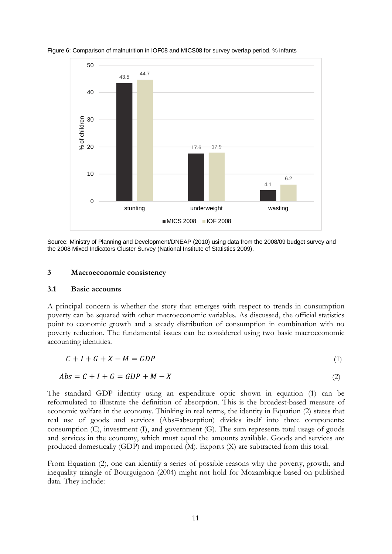

Figure 6: Comparison of malnutrition in IOF08 and MICS08 for survey overlap period, % infants

Source: Ministry of Planning and Development/DNEAP (2010) using data from the 2008/09 budget survey and the 2008 Mixed Indicators Cluster Survey (National Institute of Statistics 2009).

#### **3 Macroeconomic consistency**

#### **3.1 Basic accounts**

A principal concern is whether the story that emerges with respect to trends in consumption poverty can be squared with other macroeconomic variables. As discussed, the official statistics point to economic growth and a steady distribution of consumption in combination with no poverty reduction. The fundamental issues can be considered using two basic macroeconomic accounting identities.

$$
C + I + G + X - M = GDP \tag{1}
$$

$$
Abs = C + I + G = GDP + M - X \tag{2}
$$

The standard GDP identity using an expenditure optic shown in equation (1) can be reformulated to illustrate the definition of absorption. This is the broadest-based measure of economic welfare in the economy. Thinking in real terms, the identity in Equation (2) states that real use of goods and services (Abs=absorption) divides itself into three components: consumption  $(C)$ , investment  $(I)$ , and government  $(G)$ . The sum represents total usage of goods and services in the economy, which must equal the amounts available. Goods and services are produced domestically (GDP) and imported (M). Exports (X) are subtracted from this total.

From Equation (2), one can identify a series of possible reasons why the poverty, growth, and inequality triangle of Bourguignon (2004) might not hold for Mozambique based on published data. They include: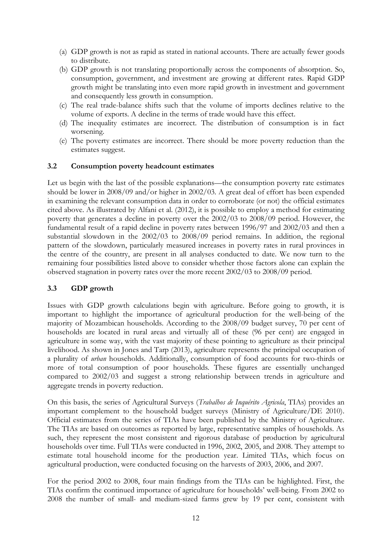- (a) GDP growth is not as rapid as stated in national accounts. There are actually fewer goods to distribute.
- (b) GDP growth is not translating proportionally across the components of absorption. So, consumption, government, and investment are growing at different rates. Rapid GDP growth might be translating into even more rapid growth in investment and government and consequently less growth in consumption.
- (c) The real trade-balance shifts such that the volume of imports declines relative to the volume of exports. A decline in the terms of trade would have this effect.
- (d) The inequality estimates are incorrect. The distribution of consumption is in fact worsening.
- (e) The poverty estimates are incorrect. There should be more poverty reduction than the estimates suggest.

# **3.2 Consumption poverty headcount estimates**

Let us begin with the last of the possible explanations—the consumption poverty rate estimates should be lower in 2008/09 and/or higher in 2002/03. A great deal of effort has been expended in examining the relevant consumption data in order to corroborate (or not) the official estimates cited above. As illustrated by Alfani et al. (2012), it is possible to employ a method for estimating poverty that generates a decline in poverty over the 2002/03 to 2008/09 period. However, the fundamental result of a rapid decline in poverty rates between 1996/97 and 2002/03 and then a substantial slowdown in the 2002/03 to 2008/09 period remains. In addition, the regional pattern of the slowdown, particularly measured increases in poverty rates in rural provinces in the centre of the country, are present in all analyses conducted to date. We now turn to the remaining four possibilities listed above to consider whether those factors alone can explain the observed stagnation in poverty rates over the more recent 2002/03 to 2008/09 period.

# **3.3 GDP growth**

Issues with GDP growth calculations begin with agriculture. Before going to growth, it is important to highlight the importance of agricultural production for the well-being of the majority of Mozambican households. According to the 2008/09 budget survey, 70 per cent of households are located in rural areas and virtually all of these (96 per cent) are engaged in agriculture in some way, with the vast majority of these pointing to agriculture as their principal livelihood. As shown in Jones and Tarp (2013), agriculture represents the principal occupation of a plurality of *urban* households. Additionally, consumption of food accounts for two-thirds or more of total consumption of poor households. These figures are essentially unchanged compared to 2002/03 and suggest a strong relationship between trends in agriculture and aggregate trends in poverty reduction.

On this basis, the series of Agricultural Surveys (*Trabalhos de Inquérito Agricola*, TIAs) provides an important complement to the household budget surveys (Ministry of Agriculture/DE 2010). Official estimates from the series of TIAs have been published by the Ministry of Agriculture. The TIAs are based on outcomes as reported by large, representative samples of households. As such, they represent the most consistent and rigorous database of production by agricultural households over time. Full TIAs were conducted in 1996, 2002, 2005, and 2008. They attempt to estimate total household income for the production year. Limited TIAs, which focus on agricultural production, were conducted focusing on the harvests of 2003, 2006, and 2007.

For the period 2002 to 2008, four main findings from the TIAs can be highlighted. First, the TIAs confirm the continued importance of agriculture for households' well-being. From 2002 to 2008 the number of small- and medium-sized farms grew by 19 per cent, consistent with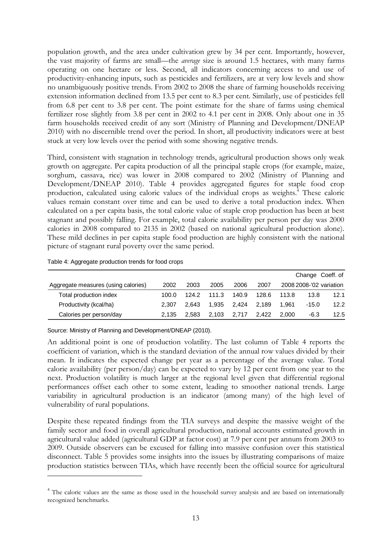population growth, and the area under cultivation grew by 34 per cent. Importantly, however, the vast majority of farms are small—the *average* size is around 1.5 hectares, with many farms operating on one hectare or less. Second, all indicators concerning access to and use of productivity-enhancing inputs, such as pesticides and fertilizers, are at very low levels and show no unambiguously positive trends. From 2002 to 2008 the share of farming households receiving extension information declined from 13.5 per cent to 8.3 per cent. Similarly, use of pesticides fell from 6.8 per cent to 3.8 per cent. The point estimate for the share of farms using chemical fertilizer rose slightly from 3.8 per cent in 2002 to 4.1 per cent in 2008. Only about one in 35 farm households received credit of any sort (Ministry of Planning and Development/DNEAP 2010) with no discernible trend over the period. In short, all productivity indicators were at best stuck at very low levels over the period with some showing negative trends.

Third, consistent with stagnation in technology trends, agricultural production shows only weak growth on aggregate. Per capita production of all the principal staple crops (for example, maize, sorghum, cassava, rice) was lower in 2008 compared to 2002 (Ministry of Planning and Development/DNEAP 2010). Table 4 provides aggregated figures for staple food crop production, calculated using caloric values of the individual crops as weights.<sup>4</sup> These caloric values remain constant over time and can be used to derive a total production index. When calculated on a per capita basis, the total calorie value of staple crop production has been at best stagnant and possibly falling. For example, total calorie availability per person per day was 2000 calories in 2008 compared to 2135 in 2002 (based on national agricultural production alone). These mild declines in per capita staple food production are highly consistent with the national picture of stagnant rural poverty over the same period.

|                                     |       |       |       |       |       |       |         | Change Coeff. of        |
|-------------------------------------|-------|-------|-------|-------|-------|-------|---------|-------------------------|
| Aggregate measures (using calories) | 2002  | 2003  | 2005  | 2006  | 2007  |       |         | 2008 2008-'02 variation |
| Total production index              | 100.0 | 124.2 | 111.3 | 140.9 | 128.6 | 113.8 | 13.8    | 12.1                    |
| Productivity (kcal/ha)              | 2.307 | 2.643 | 1.935 | 2.424 | 2.189 | 1.961 | $-15.0$ | 12.2                    |
| Calories per person/day             | 2.135 | 2.583 | 2.103 | 2,717 | 2.422 | 2.000 | -6.3    | 12.5                    |

Table 4: Aggregate production trends for food crops

-

Source: Ministry of Planning and Development/DNEAP (2010).

An additional point is one of production volatility. The last column of Table 4 reports the coefficient of variation, which is the standard deviation of the annual row values divided by their mean. It indicates the expected change per year as a percentage of the average value. Total calorie availability (per person/day) can be expected to vary by 12 per cent from one year to the next. Production volatility is much larger at the regional level given that differential regional performances offset each other to some extent, leading to smoother national trends. Large variability in agricultural production is an indicator (among many) of the high level of vulnerability of rural populations.

Despite these repeated findings from the TIA surveys and despite the massive weight of the family sector and food in overall agricultural production, national accounts estimated growth in agricultural value added (agricultural GDP at factor cost) at 7.9 per cent per annum from 2003 to 2009. Outside observers can be excused for falling into massive confusion over this statistical disconnect. Table 5 provides some insights into the issues by illustrating comparisons of maize production statistics between TIAs, which have recently been the official source for agricultural

<sup>&</sup>lt;sup>4</sup> The caloric values are the same as those used in the household survey analysis and are based on internationally recognized benchmarks.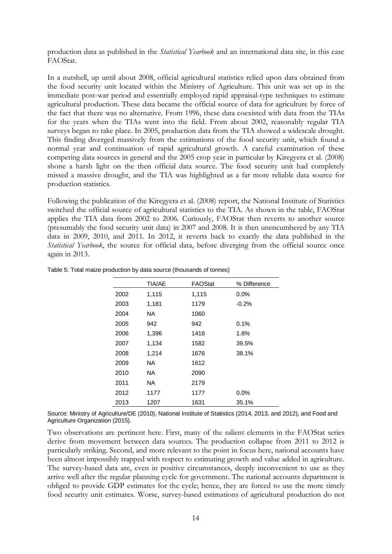production data as published in the *Statistical Yearbook* and an international data site, in this case FAOStat.

In a nutshell, up until about 2008, official agricultural statistics relied upon data obtained from the food security unit located within the Ministry of Agriculture. This unit was set up in the immediate post-war period and essentially employed rapid appraisal-type techniques to estimate agricultural production. These data became the official source of data for agriculture by force of the fact that there was no alternative. From 1996, these data coexisted with data from the TIAs for the years when the TIAs went into the field. From about 2002, reasonably regular TIA surveys began to take place. In 2005, production data from the TIA showed a widescale drought. This finding diverged massively from the estimations of the food security unit, which found a normal year and continuation of rapid agricultural growth. A careful examination of these competing data sources in general and the 2005 crop year in particular by Kiregyera et al. (2008) shone a harsh light on the then official data source. The food security unit had completely missed a massive drought, and the TIA was highlighted as a far more reliable data source for production statistics.

Following the publication of the Kiregyera et al. (2008) report, the National Institute of Statistics switched the official source of agricultural statistics to the TIA. As shown in the table, FAOStat applies the TIA data from 2002 to 2006. Curiously, FAOStat then reverts to another source (presumably the food security unit data) in 2007 and 2008. It is then unencumbered by any TIA data in 2009, 2010, and 2011. In 2012, it reverts back to exactly the data published in the *Statistical Yearbook*, the source for official data, before diverging from the official source once again in 2013.

|      | <b>TIA/AE</b> | FAOStat | % Difference |
|------|---------------|---------|--------------|
| 2002 | 1,115         | 1,115   | 0.0%         |
| 2003 | 1,181         | 1179    | $-0.2%$      |
| 2004 | NA.           | 1060    |              |
| 2005 | 942           | 942     | 0.1%         |
| 2006 | 1,396         | 1418    | 1.6%         |
| 2007 | 1,134         | 1582    | 39.5%        |
| 2008 | 1,214         | 1676    | 38.1%        |
| 2009 | NA.           | 1612    |              |
| 2010 | NA.           | 2090    |              |
| 2011 | NA.           | 2179    |              |
| 2012 | 1177          | 1177    | 0.0%         |
| 2013 | 1207          | 1631    | 35.1%        |

#### Table 5: Total maize production by data source (thousands of tonnes)

Source: Ministry of Agriculture/DE (2010), National Institute of Statistics (2014, 2013, and 2012), and Food and Agriculture Organization (2015).

Two observations are pertinent here. First, many of the salient elements in the FAOStat series derive from movement between data sources. The production collapse from 2011 to 2012 is particularly striking. Second, and more relevant to the point in focus here, national accounts have been almost impossibly trapped with respect to estimating growth and value added in agriculture. The survey-based data are, even in positive circumstances, deeply inconvenient to use as they arrive well after the regular planning cycle for government. The national accounts department is obliged to provide GDP estimates for the cycle; hence, they are forced to use the more timely food security unit estimates. Worse, survey-based estimations of agricultural production do not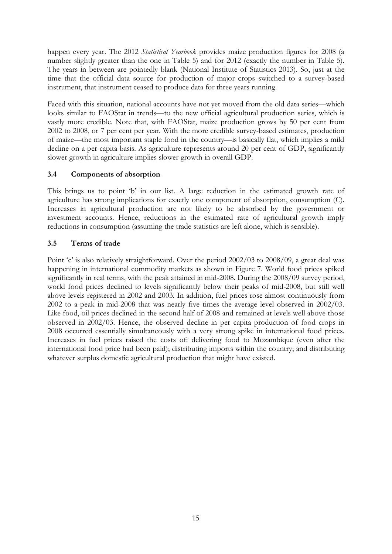happen every year. The 2012 *Statistical Yearbook* provides maize production figures for 2008 (a number slightly greater than the one in Table 5) and for 2012 (exactly the number in Table 5). The years in between are pointedly blank (National Institute of Statistics 2013). So, just at the time that the official data source for production of major crops switched to a survey-based instrument, that instrument ceased to produce data for three years running.

Faced with this situation, national accounts have not yet moved from the old data series—which looks similar to FAOStat in trends—to the new official agricultural production series, which is vastly more credible. Note that, with FAOStat, maize production grows by 50 per cent from 2002 to 2008, or 7 per cent per year. With the more credible survey-based estimates, production of maize—the most important staple food in the country—is basically flat, which implies a mild decline on a per capita basis. As agriculture represents around 20 per cent of GDP, significantly slower growth in agriculture implies slower growth in overall GDP.

# **3.4 Components of absorption**

This brings us to point 'b' in our list. A large reduction in the estimated growth rate of agriculture has strong implications for exactly one component of absorption, consumption (C). Increases in agricultural production are not likely to be absorbed by the government or investment accounts. Hence, reductions in the estimated rate of agricultural growth imply reductions in consumption (assuming the trade statistics are left alone, which is sensible).

# **3.5 Terms of trade**

Point 'c' is also relatively straightforward. Over the period 2002/03 to 2008/09, a great deal was happening in international commodity markets as shown in Figure 7. World food prices spiked significantly in real terms, with the peak attained in mid-2008. During the 2008/09 survey period, world food prices declined to levels significantly below their peaks of mid-2008, but still well above levels registered in 2002 and 2003. In addition, fuel prices rose almost continuously from 2002 to a peak in mid-2008 that was nearly five times the average level observed in 2002/03. Like food, oil prices declined in the second half of 2008 and remained at levels well above those observed in 2002/03. Hence, the observed decline in per capita production of food crops in 2008 occurred essentially simultaneously with a very strong spike in international food prices. Increases in fuel prices raised the costs of: delivering food to Mozambique (even after the international food price had been paid); distributing imports within the country; and distributing whatever surplus domestic agricultural production that might have existed.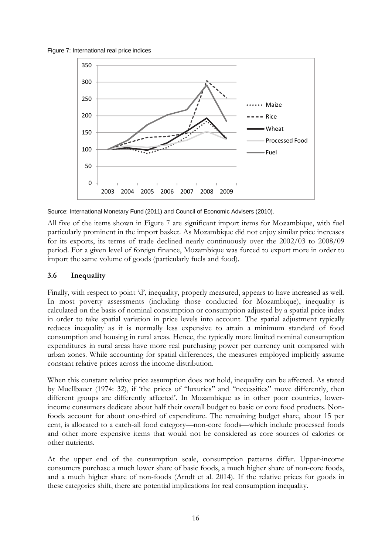Figure 7: International real price indices



Source: International Monetary Fund (2011) and Council of Economic Advisers (2010).

All five of the items shown in Figure 7 are significant import items for Mozambique, with fuel particularly prominent in the import basket. As Mozambique did not enjoy similar price increases for its exports, its terms of trade declined nearly continuously over the 2002/03 to 2008/09 period. For a given level of foreign finance, Mozambique was forced to export more in order to import the same volume of goods (particularly fuels and food).

# **3.6 Inequality**

Finally, with respect to point 'd', inequality, properly measured, appears to have increased as well. In most poverty assessments (including those conducted for Mozambique), inequality is calculated on the basis of nominal consumption or consumption adjusted by a spatial price index in order to take spatial variation in price levels into account. The spatial adjustment typically reduces inequality as it is normally less expensive to attain a minimum standard of food consumption and housing in rural areas. Hence, the typically more limited nominal consumption expenditures in rural areas have more real purchasing power per currency unit compared with urban zones. While accounting for spatial differences, the measures employed implicitly assume constant relative prices across the income distribution.

When this constant relative price assumption does not hold, inequality can be affected. As stated by Muellbauer (1974: 32), if 'the prices of "luxuries" and "necessities" move differently, then different groups are differently affected'. In Mozambique as in other poor countries, lowerincome consumers dedicate about half their overall budget to basic or core food products. Nonfoods account for about one-third of expenditure. The remaining budget share, about 15 per cent, is allocated to a catch-all food category—non-core foods—which include processed foods and other more expensive items that would not be considered as core sources of calories or other nutrients.

At the upper end of the consumption scale, consumption patterns differ. Upper-income consumers purchase a much lower share of basic foods, a much higher share of non-core foods, and a much higher share of non-foods (Arndt et al. 2014). If the relative prices for goods in these categories shift, there are potential implications for real consumption inequality.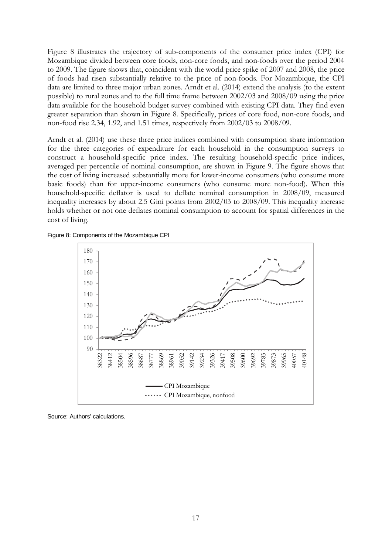Figure 8 illustrates the trajectory of sub-components of the consumer price index (CPI) for Mozambique divided between core foods, non-core foods, and non-foods over the period 2004 to 2009. The figure shows that, coincident with the world price spike of 2007 and 2008, the price of foods had risen substantially relative to the price of non-foods. For Mozambique, the CPI data are limited to three major urban zones. Arndt et al. (2014) extend the analysis (to the extent possible) to rural zones and to the full time frame between 2002/03 and 2008/09 using the price data available for the household budget survey combined with existing CPI data. They find even greater separation than shown in Figure 8. Specifically, prices of core food, non-core foods, and non-food rise 2.34, 1.92, and 1.51 times, respectively from 2002/03 to 2008/09.

Arndt et al. (2014) use these three price indices combined with consumption share information for the three categories of expenditure for each household in the consumption surveys to construct a household-specific price index. The resulting household-specific price indices, averaged per percentile of nominal consumption, are shown in Figure 9. The figure shows that the cost of living increased substantially more for lower-income consumers (who consume more basic foods) than for upper-income consumers (who consume more non-food). When this household-specific deflator is used to deflate nominal consumption in 2008/09, measured inequality increases by about 2.5 Gini points from 2002/03 to 2008/09. This inequality increase holds whether or not one deflates nominal consumption to account for spatial differences in the cost of living.





Source: Authors' calculations.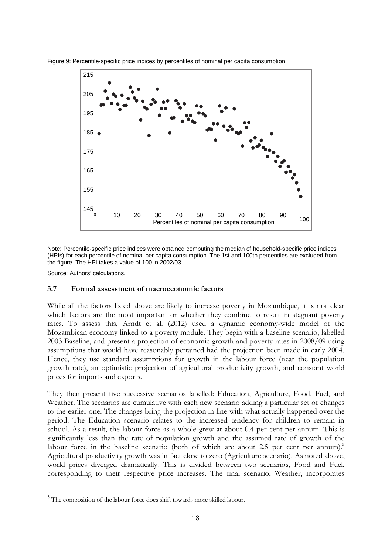

Figure 9: Percentile-specific price indices by percentiles of nominal per capita consumption

Note: Percentile-specific price indices were obtained computing the median of household-specific price indices (HPIs) for each percentile of nominal per capita consumption. The 1st and 100th percentiles are excluded from the figure. The HPI takes a value of 100 in 2002/03.

Source: Authors' calculations.

-

#### **3.7 Formal assessment of macroeconomic factors**

While all the factors listed above are likely to increase poverty in Mozambique, it is not clear which factors are the most important or whether they combine to result in stagnant poverty rates. To assess this, Arndt et al. (2012) used a dynamic economy-wide model of the Mozambican economy linked to a poverty module. They begin with a baseline scenario, labelled 2003 Baseline, and present a projection of economic growth and poverty rates in 2008/09 using assumptions that would have reasonably pertained had the projection been made in early 2004. Hence, they use standard assumptions for growth in the labour force (near the population growth rate), an optimistic projection of agricultural productivity growth, and constant world prices for imports and exports.

They then present five successive scenarios labelled: Education, Agriculture, Food, Fuel, and Weather. The scenarios are cumulative with each new scenario adding a particular set of changes to the earlier one. The changes bring the projection in line with what actually happened over the period. The Education scenario relates to the increased tendency for children to remain in school. As a result, the labour force as a whole grew at about 0.4 per cent per annum. This is significantly less than the rate of population growth and the assumed rate of growth of the labour force in the baseline scenario (both of which are about 2.5 per cent per annum).<sup>5</sup> Agricultural productivity growth was in fact close to zero (Agriculture scenario). As noted above, world prices diverged dramatically. This is divided between two scenarios, Food and Fuel, corresponding to their respective price increases. The final scenario, Weather, incorporates

<sup>&</sup>lt;sup>5</sup> The composition of the labour force does shift towards more skilled labour.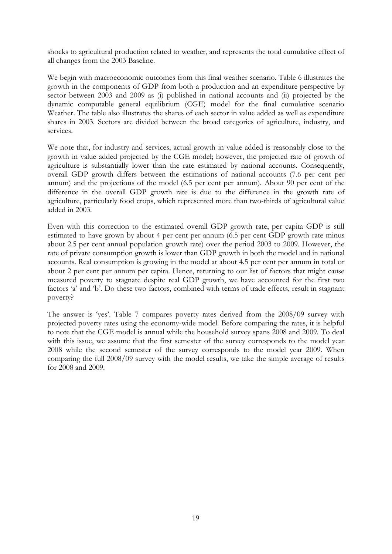shocks to agricultural production related to weather, and represents the total cumulative effect of all changes from the 2003 Baseline.

We begin with macroeconomic outcomes from this final weather scenario. Table 6 illustrates the growth in the components of GDP from both a production and an expenditure perspective by sector between 2003 and 2009 as (i) published in national accounts and (ii) projected by the dynamic computable general equilibrium (CGE) model for the final cumulative scenario Weather. The table also illustrates the shares of each sector in value added as well as expenditure shares in 2003. Sectors are divided between the broad categories of agriculture, industry, and services.

We note that, for industry and services, actual growth in value added is reasonably close to the growth in value added projected by the CGE model; however, the projected rate of growth of agriculture is substantially lower than the rate estimated by national accounts. Consequently, overall GDP growth differs between the estimations of national accounts (7.6 per cent per annum) and the projections of the model (6.5 per cent per annum). About 90 per cent of the difference in the overall GDP growth rate is due to the difference in the growth rate of agriculture, particularly food crops, which represented more than two-thirds of agricultural value added in 2003.

Even with this correction to the estimated overall GDP growth rate, per capita GDP is still estimated to have grown by about 4 per cent per annum (6.5 per cent GDP growth rate minus about 2.5 per cent annual population growth rate) over the period 2003 to 2009. However, the rate of private consumption growth is lower than GDP growth in both the model and in national accounts. Real consumption is growing in the model at about 4.5 per cent per annum in total or about 2 per cent per annum per capita. Hence, returning to our list of factors that might cause measured poverty to stagnate despite real GDP growth, we have accounted for the first two factors 'a' and 'b'. Do these two factors, combined with terms of trade effects, result in stagnant poverty?

The answer is 'yes'. Table 7 compares poverty rates derived from the 2008/09 survey with projected poverty rates using the economy-wide model. Before comparing the rates, it is helpful to note that the CGE model is annual while the household survey spans 2008 and 2009. To deal with this issue, we assume that the first semester of the survey corresponds to the model year 2008 while the second semester of the survey corresponds to the model year 2009. When comparing the full 2008/09 survey with the model results, we take the simple average of results for 2008 and 2009.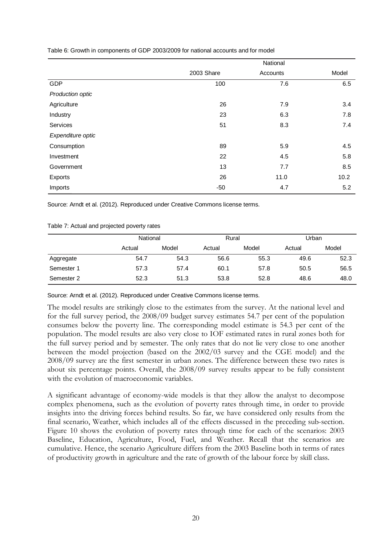|                   | National   |          |       |  |  |
|-------------------|------------|----------|-------|--|--|
|                   | 2003 Share | Accounts | Model |  |  |
| GDP               | 100        | 7.6      | 6.5   |  |  |
| Production optic  |            |          |       |  |  |
| Agriculture       | 26         | 7.9      | 3.4   |  |  |
| Industry          | 23         | 6.3      | 7.8   |  |  |
| Services          | 51         | 8.3      | 7.4   |  |  |
| Expenditure optic |            |          |       |  |  |
| Consumption       | 89         | 5.9      | 4.5   |  |  |
| Investment        | 22         | 4.5      | 5.8   |  |  |
| Government        | 13         | 7.7      | 8.5   |  |  |
| Exports           | 26         | 11.0     | 10.2  |  |  |
| Imports           | $-50$      | 4.7      | 5.2   |  |  |

Table 6: Growth in components of GDP 2003/2009 for national accounts and for model

Source: Arndt et al. (2012). Reproduced under Creative Commons license terms.

#### Table 7: Actual and projected poverty rates

|            | National |       | Rural  |       | Urban  |       |
|------------|----------|-------|--------|-------|--------|-------|
|            | Actual   | Model | Actual | Model | Actual | Model |
| Aggregate  | 54.7     | 54.3  | 56.6   | 55.3  | 49.6   | 52.3  |
| Semester 1 | 57.3     | 57.4  | 60.1   | 57.8  | 50.5   | 56.5  |
| Semester 2 | 52.3     | 51.3  | 53.8   | 52.8  | 48.6   | 48.0  |

Source: Arndt et al. (2012). Reproduced under Creative Commons license terms.

The model results are strikingly close to the estimates from the survey. At the national level and for the full survey period, the 2008/09 budget survey estimates 54.7 per cent of the population consumes below the poverty line. The corresponding model estimate is 54.3 per cent of the population. The model results are also very close to IOF estimated rates in rural zones both for the full survey period and by semester. The only rates that do not lie very close to one another between the model projection (based on the 2002/03 survey and the CGE model) and the 2008/09 survey are the first semester in urban zones. The difference between these two rates is about six percentage points. Overall, the 2008/09 survey results appear to be fully consistent with the evolution of macroeconomic variables.

A significant advantage of economy-wide models is that they allow the analyst to decompose complex phenomena, such as the evolution of poverty rates through time, in order to provide insights into the driving forces behind results. So far, we have considered only results from the final scenario, Weather, which includes all of the effects discussed in the preceding sub-section. Figure 10 shows the evolution of poverty rates through time for each of the scenarios: 2003 Baseline, Education, Agriculture, Food, Fuel, and Weather. Recall that the scenarios are cumulative. Hence, the scenario Agriculture differs from the 2003 Baseline both in terms of rates of productivity growth in agriculture and the rate of growth of the labour force by skill class.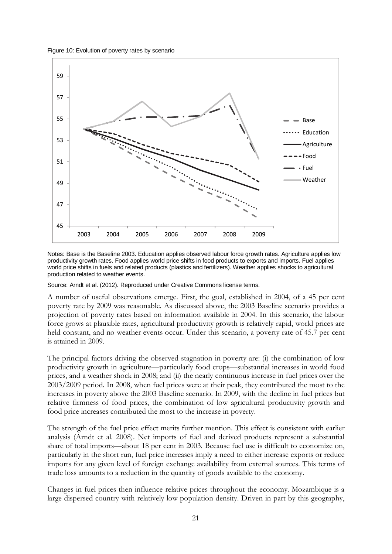Figure 10: Evolution of poverty rates by scenario



Notes: Base is the Baseline 2003. Education applies observed labour force growth rates. Agriculture applies low productivity growth rates. Food applies world price shifts in food products to exports and imports. Fuel applies world price shifts in fuels and related products (plastics and fertilizers). Weather applies shocks to agricultural production related to weather events.

Source: Arndt et al. (2012). Reproduced under Creative Commons license terms.

A number of useful observations emerge. First, the goal, established in 2004, of a 45 per cent poverty rate by 2009 was reasonable. As discussed above, the 2003 Baseline scenario provides a projection of poverty rates based on information available in 2004. In this scenario, the labour force grows at plausible rates, agricultural productivity growth is relatively rapid, world prices are held constant, and no weather events occur. Under this scenario, a poverty rate of 45.7 per cent is attained in 2009.

The principal factors driving the observed stagnation in poverty are: (i) the combination of low productivity growth in agriculture—particularly food crops—substantial increases in world food prices, and a weather shock in 2008; and (ii) the nearly continuous increase in fuel prices over the 2003/2009 period. In 2008, when fuel prices were at their peak, they contributed the most to the increases in poverty above the 2003 Baseline scenario. In 2009, with the decline in fuel prices but relative firmness of food prices, the combination of low agricultural productivity growth and food price increases contributed the most to the increase in poverty.

The strength of the fuel price effect merits further mention. This effect is consistent with earlier analysis (Arndt et al. 2008). Net imports of fuel and derived products represent a substantial share of total imports—about 18 per cent in 2003. Because fuel use is difficult to economize on, particularly in the short run, fuel price increases imply a need to either increase exports or reduce imports for any given level of foreign exchange availability from external sources. This terms of trade loss amounts to a reduction in the quantity of goods available to the economy.

Changes in fuel prices then influence relative prices throughout the economy. Mozambique is a large dispersed country with relatively low population density. Driven in part by this geography,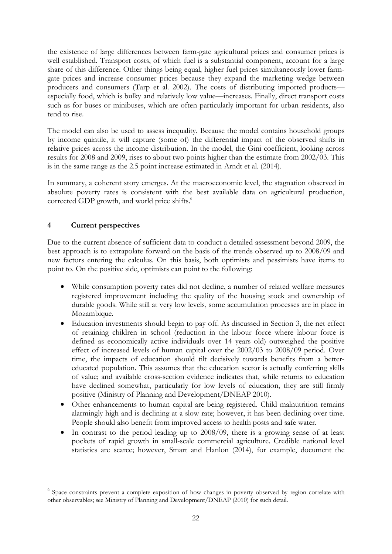the existence of large differences between farm-gate agricultural prices and consumer prices is well established. Transport costs, of which fuel is a substantial component, account for a large share of this difference. Other things being equal, higher fuel prices simultaneously lower farmgate prices and increase consumer prices because they expand the marketing wedge between producers and consumers (Tarp et al. 2002). The costs of distributing imported products especially food, which is bulky and relatively low value—increases. Finally, direct transport costs such as for buses or minibuses, which are often particularly important for urban residents, also tend to rise.

The model can also be used to assess inequality. Because the model contains household groups by income quintile, it will capture (some of) the differential impact of the observed shifts in relative prices across the income distribution. In the model, the Gini coefficient, looking across results for 2008 and 2009, rises to about two points higher than the estimate from 2002/03. This is in the same range as the 2.5 point increase estimated in Arndt et al. (2014).

In summary, a coherent story emerges. At the macroeconomic level, the stagnation observed in absolute poverty rates is consistent with the best available data on agricultural production, corrected GDP growth, and world price shifts.<sup>6</sup>

# **4 Current perspectives**

-

Due to the current absence of sufficient data to conduct a detailed assessment beyond 2009, the best approach is to extrapolate forward on the basis of the trends observed up to 2008/09 and new factors entering the calculus. On this basis, both optimists and pessimists have items to point to. On the positive side, optimists can point to the following:

- While consumption poverty rates did not decline, a number of related welfare measures registered improvement including the quality of the housing stock and ownership of durable goods. While still at very low levels, some accumulation processes are in place in Mozambique.
- Education investments should begin to pay off. As discussed in Section 3, the net effect of retaining children in school (reduction in the labour force where labour force is defined as economically active individuals over 14 years old) outweighed the positive effect of increased levels of human capital over the 2002/03 to 2008/09 period. Over time, the impacts of education should tilt decisively towards benefits from a bettereducated population. This assumes that the education sector is actually conferring skills of value; and available cross-section evidence indicates that, while returns to education have declined somewhat, particularly for low levels of education, they are still firmly positive (Ministry of Planning and Development/DNEAP 2010).
- Other enhancements to human capital are being registered. Child malnutrition remains alarmingly high and is declining at a slow rate; however, it has been declining over time. People should also benefit from improved access to health posts and safe water.
- In contrast to the period leading up to 2008/09, there is a growing sense of at least pockets of rapid growth in small-scale commercial agriculture. Credible national level statistics are scarce; however, Smart and Hanlon (2014), for example, document the

<sup>&</sup>lt;sup>6</sup> Space constraints prevent a complete exposition of how changes in poverty observed by region correlate with other observables; see Ministry of Planning and Development/DNEAP (2010) for such detail.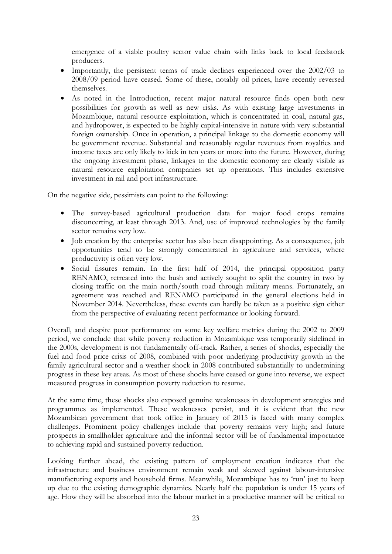emergence of a viable poultry sector value chain with links back to local feedstock producers.

- Importantly, the persistent terms of trade declines experienced over the 2002/03 to 2008/09 period have ceased. Some of these, notably oil prices, have recently reversed themselves.
- As noted in the Introduction, recent major natural resource finds open both new possibilities for growth as well as new risks. As with existing large investments in Mozambique, natural resource exploitation, which is concentrated in coal, natural gas, and hydropower, is expected to be highly capital-intensive in nature with very substantial foreign ownership. Once in operation, a principal linkage to the domestic economy will be government revenue. Substantial and reasonably regular revenues from royalties and income taxes are only likely to kick in ten years or more into the future. However, during the ongoing investment phase, linkages to the domestic economy are clearly visible as natural resource exploitation companies set up operations. This includes extensive investment in rail and port infrastructure.

On the negative side, pessimists can point to the following:

- The survey-based agricultural production data for major food crops remains disconcerting, at least through 2013. And, use of improved technologies by the family sector remains very low.
- Job creation by the enterprise sector has also been disappointing. As a consequence, job opportunities tend to be strongly concentrated in agriculture and services, where productivity is often very low.
- Social fissures remain. In the first half of 2014, the principal opposition party RENAMO, retreated into the bush and actively sought to split the country in two by closing traffic on the main north/south road through military means. Fortunately, an agreement was reached and RENAMO participated in the general elections held in November 2014. Nevertheless, these events can hardly be taken as a positive sign either from the perspective of evaluating recent performance or looking forward.

Overall, and despite poor performance on some key welfare metrics during the 2002 to 2009 period, we conclude that while poverty reduction in Mozambique was temporarily sidelined in the 2000s, development is not fundamentally off-track. Rather, a series of shocks, especially the fuel and food price crisis of 2008, combined with poor underlying productivity growth in the family agricultural sector and a weather shock in 2008 contributed substantially to undermining progress in these key areas. As most of these shocks have ceased or gone into reverse, we expect measured progress in consumption poverty reduction to resume.

At the same time, these shocks also exposed genuine weaknesses in development strategies and programmes as implemented. These weaknesses persist, and it is evident that the new Mozambican government that took office in January of 2015 is faced with many complex challenges. Prominent policy challenges include that poverty remains very high; and future prospects in smallholder agriculture and the informal sector will be of fundamental importance to achieving rapid and sustained poverty reduction.

Looking further ahead, the existing pattern of employment creation indicates that the infrastructure and business environment remain weak and skewed against labour-intensive manufacturing exports and household firms. Meanwhile, Mozambique has to 'run' just to keep up due to the existing demographic dynamics. Nearly half the population is under 15 years of age. How they will be absorbed into the labour market in a productive manner will be critical to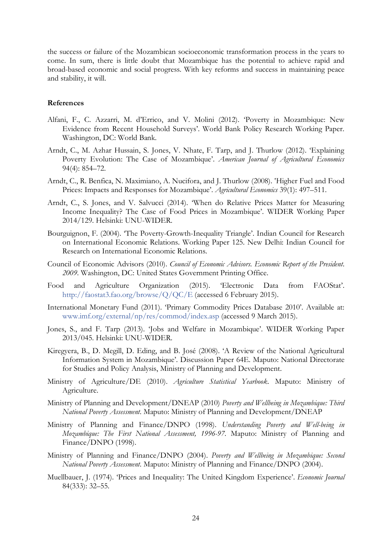the success or failure of the Mozambican socioeconomic transformation process in the years to come. In sum, there is little doubt that Mozambique has the potential to achieve rapid and broad-based economic and social progress. With key reforms and success in maintaining peace and stability, it will.

#### **References**

- Alfani, F., C. Azzarri, M. d'Errico, and V. Molini (2012). 'Poverty in Mozambique: New Evidence from Recent Household Surveys'. World Bank Policy Research Working Paper. Washington, DC: World Bank.
- Arndt, C., M. Azhar Hussain, S. Jones, V. Nhate, F. Tarp, and J. Thurlow (2012). 'Explaining Poverty Evolution: The Case of Mozambique'. *American Journal of Agricultural Economics* 94(4): 854–72.
- Arndt, C., R. Benfica, N. Maximiano, A. Nucifora, and J. Thurlow (2008). 'Higher Fuel and Food Prices: Impacts and Responses for Mozambique'. *Agricultural Economics* 39(1): 497–511.
- Arndt, C., S. Jones, and V. Salvucci (2014). 'When do Relative Prices Matter for Measuring Income Inequality? The Case of Food Prices in Mozambique'. WIDER Working Paper 2014/129. Helsinki: UNU-WIDER.
- Bourguignon, F. (2004). 'The Poverty-Growth-Inequality Triangle'. Indian Council for Research on International Economic Relations. Working Paper 125. New Delhi: Indian Council for Research on International Economic Relations.
- Council of Economic Advisors (2010). *Council of Economic Advisors. Economic Report of the President*. *2009*. Washington, DC: United States Government Printing Office.
- Food and Agriculture Organization (2015). 'Electronic Data from FAOStat'. http://faostat3.fao.org/browse/Q/QC/E (accessed 6 February 2015).
- International Monetary Fund (2011). 'Primary Commodity Prices Database 2010'. Available at: www.imf.org/external/np/res/commod/index.asp (accessed 9 March 2015).
- Jones, S., and F. Tarp (2013). 'Jobs and Welfare in Mozambique'. WIDER Working Paper 2013/045. Helsinki: UNU-WIDER.
- Kiregyera, B., D. Megill, D. Eding, and B. José (2008). 'A Review of the National Agricultural Information System in Mozambique'. Discussion Paper 64E. Maputo: National Directorate for Studies and Policy Analysis, Ministry of Planning and Development.
- Ministry of Agriculture/DE (2010). *Agriculture Statistical Yearbook*. Maputo: Ministry of Agriculture.
- Ministry of Planning and Development/DNEAP (2010) *Poverty and Wellbeing in Mozambique: Third National Poverty Assessment*. Maputo: Ministry of Planning and Development/DNEAP
- Ministry of Planning and Finance/DNPO (1998). *Understanding Poverty and Well-being in Mozambique: The First National Assessment, 1996-97*. Maputo: Ministry of Planning and Finance/DNPO (1998).
- Ministry of Planning and Finance/DNPO (2004). *Poverty and Wellbeing in Mozambique: Second National Poverty Assessment*. Maputo: Ministry of Planning and Finance/DNPO (2004).
- Muellbauer, J. (1974). 'Prices and Inequality: The United Kingdom Experience'. *Economic Journal* 84(333): 32–55.